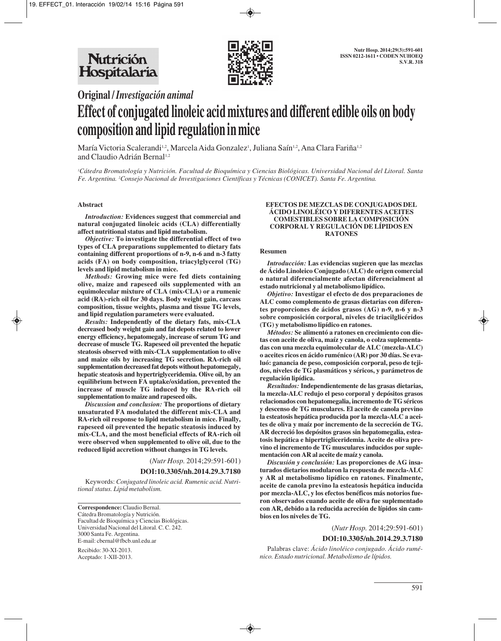

**Original /** *Investigación animal*

# **Effect of conjugated linoleic acid mixtures and different edible oils on body composition and lipid regulation in mice**

María Victoria Scalerandi½, Marcela Aida Gonzalez½, Juliana Saín½, Ana Clara Fariña½ and Claudio Adrián Bernal<sup>1,2</sup>

*1 Cátedra Bromatología y Nutrición. Facultad de Bioquímica y Ciencias Biológicas. Universidad Nacional del Litoral. Santa Fe. Argentina. 2 Consejo Nacional de Investigaciones Científicas y Técnicas (CONICET). Santa Fe. Argentina.*

#### **Abstract**

*Introduction:* **Evidences suggest that commercial and natural conjugated linoleic acids (CLA) differentially affect nutritional status and lipid metabolism.**

*Objective:* **To investigate the differential effect of two types of CLA preparations supplemented to dietary fats containing different proportions of n-9, n-6 and n-3 fatty acids (FA) on body composition, triacylglycerol (TG) levels and lipid metabolism in mice.**

*Methods:* **Growing mice were fed diets containing olive, maize and rapeseed oils supplemented with an equimolecular mixture of CLA (mix-CLA) or a rumenic acid (RA)-rich oil for 30 days. Body weight gain, carcass composition, tissue weights, plasma and tissue TG levels, and lipid regulation parameters were evaluated.**

*Results:* **Independently of the dietary fats, mix-CLA decreased body weight gain and fat depots related to lower energy efficiency, hepatomegaly, increase of serum TG and decrease of muscle TG. Rapeseed oil prevented the hepatic steatosis observed with mix-CLA supplementation to olive and maize oils by increasing TG secretion. RA-rich oil supplementation decreased fat depots without hepatomegaly, hepatic steatosis and hypertriglyceridemia. Olive oil, by an equilibrium between FA uptake/oxidation, prevented the increase of muscle TG induced by the RA-rich oil supplementation to maize and rapeseed oils.** 

*Discussion and conclusion:* **The proportions of dietary unsaturated FA modulated the different mix-CLA and RA-rich oil response to lipid metabolism in mice. Finally, rapeseed oil prevented the hepatic steatosis induced by mix-CLA, and the most beneficial effects of RA-rich oil were observed when supplemented to olive oil, due to the reduced lipid accretion without changes in TG levels.**

(*Nutr Hosp.* 2014;29:591-601)

#### **DOI:10.3305/nh.2014.29.3.7180**

Keywords: *Conjugated linoleic acid. Rumenic acid. Nutritional status. Lipid metabolism.*

**Correspondence:** Claudio Bernal. Cátedra Bromatología y Nutrición. Facultad de Bioquímica y Ciencias Biológicas. Universidad Nacional del Litoral. C. C. 242. 3000 Santa Fe. Argentina. E-mail: cbernal@fbcb.unl.edu.ar

Recibido: 30-XI-2013. Aceptado: 1-XII-2013.

#### **EFECTOS DE MEZCLAS DE CONJUGADOS DEL ÁCIDO LINOLÉICO Y DIFERENTES ACEITES COMESTIBLES SOBRE LA COMPOSICIÓN CORPORAL Y REGULACIÓN DE LÍPIDOS EN RATONES**

#### **Resumen**

*Introducción:* **Las evidencias sugieren que las mezclas de Ácido Linoleico Conjugado (ALC) de origen comercial o natural diferencialmente afectan diferencialment al estado nutricional y al metabolismo lipídico.**

*Objetivo:* **Investigar el efecto de dos preparaciones de ALC como complemento de grasas dietarias con diferentes proporciones de ácidos grasos (AG) n-9, n-6 y n-3 sobre composición corporal, niveles de triacilglicéridos (TG) y metabolismo lipídico en ratones.**

*Métodos:* **Se alimentó a ratones en crecimiento con dietas con aceite de oliva, maíz y canola, o colza suplementadas con una mezcla equimolecular de ALC (mezcla-ALC) o aceites ricos en ácido ruménico (AR) por 30 días. Se evaluó: ganancia de peso, composición corporal, peso de tejidos, niveles de TG plasmáticos y séricos, y parámetros de regulación lipídica.**

*Resultados:* **Independientemente de las grasas dietarias, la mezcla-ALC redujo el peso corporal y depósitos grasos relacionados con hepatomegalia, incremento de TG séricos y descenso de TG musculares. El aceite de canola previno la esteatosis hepática producida por la mezcla-ALC a aceites de oliva y maíz por incremento de la secreción de TG. AR decreció los depósitos grasos sin hepatomegalia, esteatosis hepática e hipertrigliceridemia. Aceite de oliva previno el incremento de TG musculares inducidos por suplementación con AR al aceite de maíz y canola.**

*Discusión y conclusión:* **Las proporciones de AG insaturados dietarios modularon la respuesta de mezcla-ALC y AR al metabolismo lipídico en ratones. Finalmente, aceite de canola previno la esteatosis hepática inducida por mezcla-ALC, y los efectos benéficos más notorios fueron observados cuando aceite de oliva fue suplementado con AR, debido a la reducida acreción de lípidos sin cambios en los niveles de TG.**

(*Nutr Hosp.* 2014;29:591-601)

#### **DOI:10.3305/nh.2014.29.3.7180**

Palabras clave: *Ácido linoléico conjugado. Ácido ruménico. Estado nutricional. Metabolismo de lípidos.*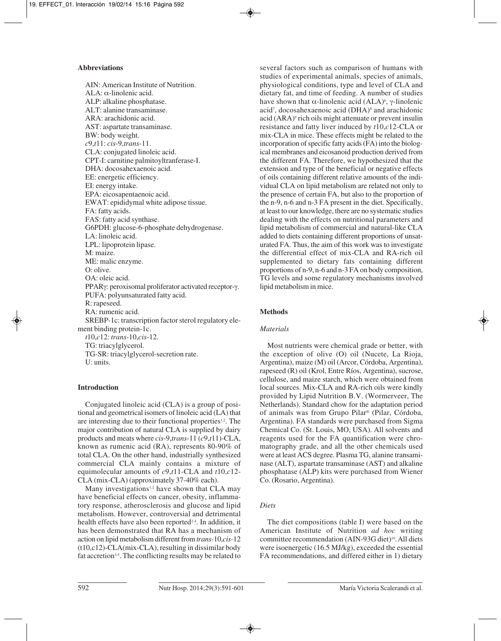### **Abbreviations**

AIN: American Institute of Nutrition. ALA: α-linolenic acid. ALP: alkaline phosphatase. ALT: alanine transaminase. ARA: arachidonic acid. AST: aspartate transaminase. BW: body weight. *c*9,*t*11: *cis*-9,*trans*-11. CLA: conjugated linoleic acid. CPT-I: carnitine palmitoyltranferase-I. DHA: docosahexaenoic acid. EE: energetic efficiency. EI: energy intake. EPA: eicosapentaenoic acid. EWAT: epididymal white adipose tissue. FA: fatty acids. FAS: fatty acid synthase. G6PDH: glucose-6-phosphate dehydrogenase. LA: linoleic acid. LPL: lipoprotein lipase. M: maize. ME: malic enzyme. O: olive. OA: oleic acid. PPARγ: peroxisomal proliferator activated receptor-γ. PUFA: polyunsaturated fatty acid. R: rapeseed. RA: rumenic acid. SREBP-1c: transcription factor sterol regulatory element binding protein-1c. *t*10,*c*12: *trans*-10,*cis*-12. TG: triacylglycerol. TG-SR: triacylglycerol-secretion rate.

## **Introduction**

U: units.

Conjugated linoleic acid (CLA) is a group of positional and geometrical isomers of linoleic acid (LA) that are interesting due to their functional properties<sup>1,2</sup>. The major contribution of natural CLA is supplied by dairy products and meats where *cis*-9,*trans*-11 (*c*9,*t*11)-CLA, known as rumenic acid (RA), represents 80-90% of total CLA. On the other hand, industrially synthesized commercial CLA mainly contains a mixture of equimolecular amounts of *c*9,*t*11-CLA and *t*10,*c*12- CLA (mix-CLA) (approximately 37-40% each).

Many investigations<sup>1,2</sup> have shown that CLA may have beneficial effects on cancer, obesity, inflammatory response, atherosclerosis and glucose and lipid metabolism. However, controversial and detrimental health effects have also been reported<sup>2-4</sup>. In addition, it has been demonstrated that RA has a mechanism of action on lipid metabolism different from *trans-*10,*cis-*12 (t10,c12)-CLA(mix-CLA), resulting in dissimilar body fat accretion<sup>3-5</sup>. The conflicting results may be related to several factors such as comparison of humans with studies of experimental animals, species of animals, physiological conditions, type and level of CLA and dietary fat, and time of feeding. A number of studies have shown that  $\alpha$ -linolenic acid (ALA)<sup>6</sup>, γ-linolenic acid<sup>7</sup>, docosahexaenoic acid (DHA)<sup>8</sup> and arachidonic acid (ARA)9 rich oils might attenuate or prevent insulin resistance and fatty liver induced by *t*10,*c*12-CLA or mix-CLA in mice. These effects might be related to the incorporation of specific fatty acids (FA) into the biological membranes and eicosanoid production derived from the different FA. Therefore, we hypothesized that the extension and type of the beneficial or negative effects of oils containing different relative amounts of the individual CLA on lipid metabolism are related not only to the presence of certain FA, but also to the proportion of the n-9, n-6 and n-3 FA present in the diet. Specifically, at least to our knowledge, there are no systematic studies dealing with the effects on nutritional parameters and lipid metabolism of commercial and natural-like CLA added to diets containing different proportions of unsaturated FA. Thus, the aim of this work was to investigate the differential effect of mix-CLA and RA-rich oil supplemented to dietary fats containing different proportions of n-9, n-6 and n-3 FA on body composition, TG levels and some regulatory mechanisms involved lipid metabolism in mice.

# **Methods**

## *Materials*

Most nutrients were chemical grade or better, with the exception of olive (O) oil (Nucete, La Rioja, Argentina), maize (M) oil (Arcor, Córdoba, Argentina), rapeseed (R) oil (Krol, Entre Ríos, Argentina), sucrose, cellulose, and maize starch, which were obtained from local sources. Mix-CLA and RA-rich oils were kindly provided by Lipid Nutrition B.V. (Wormerveer, The Netherlands). Standard chow for the adaptation period of animals was from Grupo Pilar® (Pilar, Córdoba, Argentina). FA standards were purchased from Sigma Chemical Co. (St. Louis, MO, USA). All solvents and reagents used for the FA quantification were chromatography grade, and all the other chemicals used were at least ACS degree. Plasma TG, alanine transaminase (ALT), aspartate transaminase (AST) and alkaline phosphatase (ALP) kits were purchased from Wiener Co. (Rosario, Argentina).

# *Diets*

The diet compositions (table I) were based on the American Institute of Nutrition *ad hoc* writing committee recommendation (AIN-93G diet)<sup>10</sup>. All diets were isoenergetic (16.5 MJ/kg), exceeded the essential FA recommendations, and differed either in 1) dietary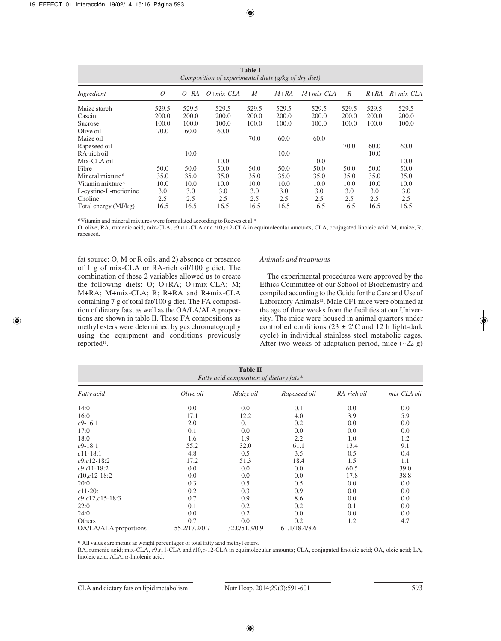|                       |       |        | Composition of experimental diets (g/kg of dry diet) | <b>Table I</b>  |        |               |                          |        |               |
|-----------------------|-------|--------|------------------------------------------------------|-----------------|--------|---------------|--------------------------|--------|---------------|
| Ingredient            | 0     | $O+RA$ | $O + mix-CLA$                                        | M               | $M+RA$ | $M + mix-CLA$ | R                        | $R+RA$ | $R + mix-CLA$ |
| Maize starch          | 529.5 | 529.5  | 529.5                                                | 529.5           | 529.5  | 529.5         | 529.5                    | 529.5  | 529.5         |
| Casein                | 200.0 | 200.0  | 200.0                                                | 200.0           | 200.0  | 200.0         | 200.0                    | 200.0  | 200.0         |
| Sucrose               | 100.0 | 100.0  | 100.0                                                | 100.0           | 100.0  | 100.0         | 100.0                    | 100.0  | 100.0         |
| Olive oil             | 70.0  | 60.0   | 60.0                                                 |                 | -      |               |                          |        |               |
| Maize oil             |       |        |                                                      | 70.0            | 60.0   | 60.0          |                          |        |               |
| Rapeseed oil          |       |        |                                                      |                 |        |               | 70.0                     | 60.0   | 60.0          |
| RA-rich oil           | -     | 10.0   |                                                      | $\qquad \qquad$ | 10.0   | -             | $\overline{\phantom{m}}$ | 10.0   |               |
| Mix-CLA oil           |       |        | 10.0                                                 |                 |        | 10.0          |                          |        | 10.0          |
| Fibre                 | 50.0  | 50.0   | 50.0                                                 | 50.0            | 50.0   | 50.0          | 50.0                     | 50.0   | 50.0          |
| Mineral mixture*      | 35.0  | 35.0   | 35.0                                                 | 35.0            | 35.0   | 35.0          | 35.0                     | 35.0   | 35.0          |
| Vitamin mixture*      | 10.0  | 10.0   | 10.0                                                 | 10.0            | 10.0   | 10.0          | 10.0                     | 10.0   | 10.0          |
| L-cystine-L-metionine | 3.0   | 3.0    | 3.0                                                  | 3.0             | 3.0    | 3.0           | 3.0                      | 3.0    | 3.0           |
| Choline               | 2.5   | 2.5    | 2.5                                                  | 2.5             | 2.5    | 2.5           | 2.5                      | 2.5    | 2.5           |
| Total energy (MJ/kg)  | 16.5  | 16.5   | 16.5                                                 | 16.5            | 16.5   | 16.5          | 16.5                     | 16.5   | 16.5          |

\*Vitamin and mineral mixtures were formulated according to Reeves et al.10

O, olive; RA, rumenic acid; mix-CLA, *c*9,*t*11-CLA and *t*10,*c*12-CLA in equimolecular amounts; CLA, conjugated linoleic acid; M, maize; R, rapeseed.

fat source: O, M or R oils, and 2) absence or presence of 1 g of mix-CLA or RA-rich oil/100 g diet. The combination of these 2 variables allowed us to create the following diets: O; O+RA; O+mix-CLA; M; M+RA; M+mix-CLA; R; R+RA and R+mix-CLA containing 7 g of total fat/100 g diet. The FA composition of dietary fats, as well as the OA/LA/ALA proportions are shown in table II. These FA compositions as methyl esters were determined by gas chromatography using the equipment and conditions previously reported<sup>11</sup>.

#### *Animals and treatments*

The experimental procedures were approved by the Ethics Committee of our School of Biochemistry and compiled according to the Guide for the Care and Use of Laboratory Animals<sup>12</sup>. Male CF1 mice were obtained at the age of three weeks from the facilities at our University. The mice were housed in animal quarters under controlled conditions ( $23 \pm 2$ °C and 12 h light-dark cycle) in individual stainless steel metabolic cages. After two weeks of adaptation period, mice  $(\sim 22 \text{ g})$ 

|                       |               | <b>Table II</b><br>Fatty acid composition of dietary fats* |               |             |             |
|-----------------------|---------------|------------------------------------------------------------|---------------|-------------|-------------|
| <i>Fatty acid</i>     | Olive oil     | Maize oil                                                  | Rapeseed oil  | RA-rich oil | mix-CLA oil |
| 14:0                  | 0.0           | 0.0                                                        | 0.1           | 0.0         | 0.0         |
| 16:0                  | 17.1          | 12.2                                                       | 4.0           | 3.9         | 5.9         |
| $c$ 9-16:1            | 2.0           | 0.1                                                        | 0.2           | 0.0         | 0.0         |
| 17:0                  | 0.1           | 0.0                                                        | 0.0           | 0.0         | 0.0         |
| 18:0                  | 1.6           | 1.9                                                        | 2.2           | 1.0         | 1.2         |
| $c$ 9-18:1            | 55.2          | 32.0                                                       | 61.1          | 13.4        | 9.1         |
| $c11-18:1$            | 4.8           | 0.5                                                        | 3.5           | 0.5         | 0.4         |
| $c$ 9, $c$ 12-18:2    | 17.2          | 51.3                                                       | 18.4          | 1.5         | 1.1         |
| $c9, t11 - 18:2$      | 0.0           | 0.0                                                        | 0.0           | 60.5        | 39.0        |
| $t10,c12-18:2$        | 0.0           | 0.0                                                        | 0.0           | 17.8        | 38.8        |
| 20:0                  | 0.3           | 0.5                                                        | 0.5           | 0.0         | 0.0         |
| $c11-20:1$            | 0.2           | 0.3                                                        | 0.9           | 0.0         | 0.0         |
| $c9, c12, c15-18:3$   | 0.7           | 0.9                                                        | 8.6           | 0.0         | 0.0         |
| 22:0                  | 0.1           | 0.2                                                        | 0.2           | 0.1         | 0.0         |
| 24:0                  | 0.0           | 0.2                                                        | 0.0           | 0.0         | 0.0         |
| Others                | 0.7           | 0.0                                                        | 0.2           | 1.2         | 4.7         |
| OA/LA/ALA proportions | 55.2/17.2/0.7 | 32.0/51.3/0.9                                              | 61.1/18.4/8.6 |             |             |

\* All values are means as weight percentages of total fatty acid methyl esters.

RA, rumenic acid; mix-CLA, *c*9,*t*11-CLA and *t*10,*c*-12-CLA in equimolecular amounts; CLA, conjugated linoleic acid; OA, oleic acid; LA, linoleic acid; ALA, α-linolenic acid.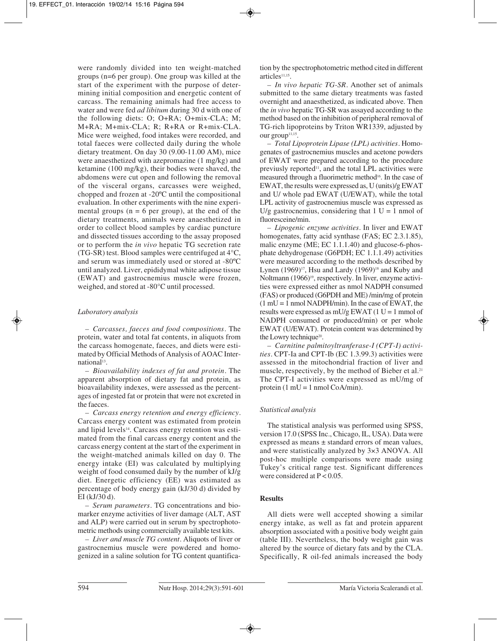were randomly divided into ten weight-matched groups (n=6 per group). One group was killed at the start of the experiment with the purpose of determining initial composition and energetic content of carcass. The remaining animals had free access to water and were fed *ad libitum* during 30 d with one of the following diets: O; O+RA; O+mix-CLA; M; M+RA; M+mix-CLA; R; R+RA or R+mix-CLA. Mice were weighed, food intakes were recorded, and total faeces were collected daily during the whole dietary treatment. On day 30 (9.00-11.00 AM), mice were anaesthetized with azepromazine (1 mg/kg) and ketamine (100 mg/kg), their bodies were shaved, the abdomens were cut open and following the removal of the visceral organs, carcasses were weighed, chopped and frozen at -20ºC until the compositional evaluation. In other experiments with the nine experimental groups  $(n = 6$  per group), at the end of the dietary treatments, animals were anaesthetized in order to collect blood samples by cardiac puncture and dissected tissues according to the assay proposed or to perform the *in vivo* hepatic TG secretion rate (TG-SR) test. Blood samples were centrifuged at 4°C, and serum was immediately used or stored at -80ºC until analyzed. Liver, epididymal white adipose tissue (EWAT) and gastrocnemius muscle were frozen, weighed, and stored at -80°C until processed.

## *Laboratory analysis*

*– Carcasses, faeces and food compositions.* The protein, water and total fat contents, in aliquots from the carcass homogenate, faeces, and diets were estimated by Official Methods of Analysis of AOAC International<sup>13</sup>.

*– Bioavailability indexes of fat and protein.* The apparent absorption of dietary fat and protein, as bioavailability indexes, were assessed as the percentages of ingested fat or protein that were not excreted in the faeces.

*– Carcass energy retention and energy efficiency.* Carcass energy content was estimated from protein and lipid levels<sup>14</sup>. Carcass energy retention was estimated from the final carcass energy content and the carcass energy content at the start of the experiment in the weight-matched animals killed on day 0. The energy intake (EI) was calculated by multiplying weight of food consumed daily by the number of kJ/g diet. Energetic efficiency (EE) was estimated as percentage of body energy gain (kJ/30 d) divided by EI (kJ/30 d).

*– Serum parameters.* TG concentrations and bio marker enzyme activities of liver damage (ALT, AST and ALP) were carried out in serum by spectrophotometric methods using commercially available test kits.

*– Liver and muscle TG content.* Aliquots of liver or gastrocnemius muscle were powdered and homogenized in a saline solution for TG content quantification by the spectrophotometric method cited in different articles<sup>11,15</sup>.

*– In vivo hepatic TG-SR.* Another set of animals submitted to the same dietary treatments was fasted overnight and anaesthetized, as indicated above. Then the *in vivo* hepatic TG-SR was assayed according to the method based on the inhibition of peripheral removal of TG-rich lipoproteins by Triton WR1339, adjusted by our group<sup>11,15</sup>.

*– Total Lipoprotein Lipase (LPL) activities.* Homo genates of gastrocnemius muscles and acetone powders of EWAT were prepared according to the procedure previusly reported<sup>11</sup>, and the total LPL activities were measured through a fluorimetric method<sup>16</sup>. In the case of EWAT, the results were expressed as, U (units)/g EWAT and U/ whole pad EWAT (U/EWAT), while the total LPL activity of gastrocnemius muscle was expressed as U/g gastrocnemius, considering that  $1 U = 1$  nmol of fluoresceine/min.

*– Lipogenic enzyme activities.* In liver and EWAT homogenates, fatty acid synthase (FAS; EC 2.3.1.85), malic enzyme (ME; EC 1.1.1.40) and glucose-6-phosphate dehydrogenase (G6PDH; EC 1.1.1.49) activities were measured according to the methods described by Lynen  $(1969)^{17}$ , Hsu and Lardy  $(1969)^{18}$  and Kuby and Noltmann (1966)<sup>19</sup>, respectively. In liver, enzyme activities were expressed either as nmol NADPH consumed (FAS) or produced (G6PDH and ME) /min/mg of protein  $(1 \text{ mU} = 1 \text{ nmol} \text{ NADPH/min})$ . In the case of EWAT, the results were expressed as  $mU/g EWAT (1 U = 1 mmol of$ NADPH consumed or produced/min) or per whole EWAT (U/EWAT). Protein content was determined by the Lowry technique<sup>20</sup>.

*– Carnitine palmitoyltranferase-I (CPT-I) activities.* CPT-Ia and CPT-Ib (EC 1.3.99.3) activities were assessed in the mitochondrial fraction of liver and muscle, respectively, by the method of Bieber et al.<sup>21</sup> The CPT-I activities were expressed as mU/mg of protein  $(1 \text{ mU} = 1 \text{ nmol CoA/min}).$ 

# *Statistical analysis*

The statistical analysis was performed using SPSS, version 17.0 (SPSS Inc., Chicago, IL, USA). Data were expressed as means ± standard errors of mean values, and were statistically analyzed by 3×3 ANOVA. All post-hoc multiple comparisons were made using Tukey's critical range test. Significant differences were considered at  $P < 0.05$ .

## **Results**

All diets were well accepted showing a similar energy intake, as well as fat and protein apparent absorption associated with a positive body weight gain (table III). Nevertheless, the body weight gain was altered by the source of dietary fats and by the CLA. Specifically, R oil-fed animals increased the body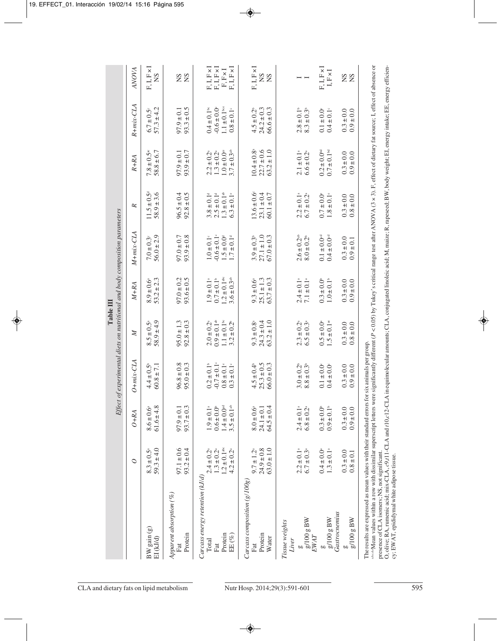|                                                                                              |                                                                                                            | Effect                                                                                                    |                                                                                            |                                                                                                            | <b>Table III</b>                                                                                                        | of experimental diets on nutritional and body composition parameters                          |                                                                                               |                                                                                                             |                                                                                           |                                                                                   |
|----------------------------------------------------------------------------------------------|------------------------------------------------------------------------------------------------------------|-----------------------------------------------------------------------------------------------------------|--------------------------------------------------------------------------------------------|------------------------------------------------------------------------------------------------------------|-------------------------------------------------------------------------------------------------------------------------|-----------------------------------------------------------------------------------------------|-----------------------------------------------------------------------------------------------|-------------------------------------------------------------------------------------------------------------|-------------------------------------------------------------------------------------------|-----------------------------------------------------------------------------------|
|                                                                                              | $\circ$                                                                                                    | $O+RA$                                                                                                    | $O + mix-CLA$                                                                              | $\boldsymbol{z}$                                                                                           | $M+RA$                                                                                                                  | $M + mix-CLA$                                                                                 | ĸ                                                                                             | $R+RA$                                                                                                      | R+mix-CLA                                                                                 | ANOVA                                                                             |
| $BW$ gain $(g)$<br>EI (kJ/d)                                                                 | $59.3 \pm 4.0$<br>$8.3 \pm 0.5^{\circ}$                                                                    | $61.6 \pm 4.8$<br>$8.6 \pm 0.6$ <sup>a</sup>                                                              | $4.4 \pm 0.5^{\circ}$<br>$60.8 \pm 7.1$                                                    | $58.9 \pm 4.9$<br>$8.5 \pm 0.5^{\circ}$                                                                    | $53.2 \pm 2.3$<br>$8.9 \pm 0.6^{\circ}$                                                                                 | $56.0 \pm 2.9$<br>$7.0 \pm 0.3^{\circ}$                                                       | $11.5 \pm 0.5^{\circ}$<br>$58.9 \pm 3.6$                                                      | $7.8 \pm 0.5$ <sup>ac</sup><br>$58.8 \pm 6.7$                                                               | $57.3 \pm 4.2$<br>$6.7 \pm 0.5$                                                           | $F, I, F \times I$<br><b>NS</b>                                                   |
| Apparent absorption (%)<br>Protein<br>Fat                                                    | $97.1 \pm 0.6$<br>$93.2 \pm 0.4$                                                                           | $93.7 \pm 0.3$<br>$97.9 \pm 0.1$                                                                          | $96.8 \pm 0.8$<br>95.0 ± 0.3                                                               | $95.0 \pm 1.3$<br>$92.8 \pm 0.3$                                                                           | $97.0 \pm 0.2$<br>$93.6 \pm 0.5$                                                                                        | $93.9 \pm 0.8$<br>$97.0 \pm 0.7$                                                              | $96.5 \pm 0.4$<br>$92.8 \pm 0.5$                                                              | $93.9 \pm 0.7$<br>$97.9 \pm 0.1$                                                                            | $93.3 \pm 0.5$<br>$97.9 \pm 0.1$                                                          | <b>SS</b>                                                                         |
| Carcass energy retention (kJ/d)<br>Protein<br>EE(%)<br>Total<br>Fat                          | $1.2 \pm 0.1$ <sup>abc</sup><br>$1.3\pm0.2^{\rm a}$<br>$4.2 \pm 0.2$ <sup>a</sup><br>$2.4 \pm 0.2^{\circ}$ | $1.4 \pm 0.0$ <sup>ad</sup><br>$3.5 \pm 0.1$ <sup>ab</sup><br>$1.9 \pm 0.1$ <sup>a</sup><br>$0.6 \pm 0.0$ | $-0.7 \pm 0.1$<br>$0.2 \pm 0.1$ <sup>b</sup><br>$0.8\pm0.1^{\circ}$<br>$0.3\pm0.1^{\circ}$ | $0.9 \pm 0.1^{4}$<br>$1.1 \pm 0.1$ <sup>bc</sup><br>$\pm$ 0.2 <sup>b</sup><br>$2.0 \pm 0.2^{\circ}$<br>3.2 | $1.2 \pm 0.1$ <sup>abc</sup><br>$0.7 \pm 0.1$ <sup>b</sup><br>$3.6 \pm 0.3$ <sup>ab</sup><br>$1.9 \pm 0.1$ <sup>a</sup> | $-0.6 \pm 0.1$ <sup>c</sup><br>$1.0 \pm 0.1^{\circ}$<br>$1.5 \pm 0.04$<br>$1.7\pm0.1^{\rm d}$ | $1.3 \pm 0.1$ <sup>ab</sup><br>$2.5 \pm 0.14$<br>$6.3 \pm 0.1$ <sup>e</sup><br>$3.8 \pm 0.14$ | $1.0 \pm 0.0$ <sup>e</sup><br>$3.7 \pm 0.3$ <sup>ab</sup><br>$1.3 \pm 0.2^{\circ}$<br>$2.2 \pm 0.2^{\circ}$ | $1.1 \pm 0.1$ bce<br>$-0.6 \pm 0.0$<br>$0.4 \pm 0.1$ <sup>bc</sup><br>$0.8\pm0.1^{\circ}$ | $F, I, F \times I$<br>$F, I, F \times I$<br>$F, I, F \times I$<br>$F, F \times I$ |
| $Carcass$ composition $(g/100g)$<br>Protein<br>Water<br>Fat                                  | $63.0 \pm 1.0$<br>$24.9 \pm 0.8$<br>$9.7 \pm 1.2^{\circ}$                                                  | $64.5 \pm 0.4$<br>$24.1 \pm 0.1$<br>$8.0 \pm 0.6$                                                         | $25.3 \pm 0.5$<br>66.0 ± 0.3<br>$4.5 \pm 0.4$                                              | $24.3 \pm 0.4$<br>$63.2 \pm 1.0$<br>$9.3 \pm 0.8^{\circ}$                                                  | $25.1 \pm 1.3$<br>$63.7 \pm 0.3$<br>$9.3 \pm 0.6$ <sup>a</sup>                                                          | $27.1 \pm 1.0$<br>$67.0 \pm 0.3$<br>$3.9 \pm 0.3$                                             | $13.6 \pm 0.6$<br>$23.1 \pm 0.4$<br>$60.1 \pm 0.7$                                            | $10.4 \pm 0.8^{\circ}$<br>$22.7 \pm 0.6$<br>$63.2 \pm 1.0$                                                  | $24.2 \pm 0.3$<br>$66.6 \pm 0.3$<br>$4.5 \pm 0.2^{\circ}$                                 | $F, I, F \times I$<br><b>SS</b>                                                   |
| $\frac{\mathrm{g}/100~\mathrm{g~BW}}{\mathrm{EWAT}}$<br>Tissue weights<br>Liver<br><b>as</b> | $2.2 \pm 0.1$ <sup>a</sup><br>$6.7 \pm 0.3$ <sup>a</sup>                                                   | $2.4 \pm 0.1$ <sup>a</sup><br>$6.8 \pm 0.2^{\circ}$                                                       | $3.0 \pm 0.2^{\circ}$<br>$8.8 \pm 0.3$ <sup>t</sup>                                        | $2.3 \pm 0.2^a$<br>$6.5 \pm 0.3^a$                                                                         | $2.4 \pm 0.1$ <sup>a</sup><br>7.1 ± 0.1 <sup>a</sup>                                                                    | $2.6 \pm 0.2$ <sup>ab</sup><br>$8.0 \pm 0.2$ <sup>b</sup>                                     | $2.2 \pm 0.1$ <sup>a</sup><br>$6.7 \pm 0.2^{\circ}$                                           | $2.1 \pm 0.1$ <sup>a</sup><br>$6.6 \pm 0.2^{\circ}$                                                         | $2.8 \pm 0.1^{\circ}$<br>$8.3 \pm 0.3^{\circ}$                                            |                                                                                   |
| Gastrocnemius<br>$g/100 g$ BW                                                                | $0.4 \pm 0.0^{\circ}$<br>1.3 ± 0.1 <sup>ª</sup>                                                            | $0.9\pm0.1^{\circ}$<br>$0.3 \pm 0.0$ <sup>b</sup>                                                         | $0.4 \pm 0.0$<br>$0.1 \pm 0.0^{\circ}$                                                     | $1.5 \pm 0.1$ <sup>ac</sup><br>$0.5 \pm 0.0^{\circ}$                                                       | $1.0 \pm 0.1$ <sup>b</sup><br>$0.3 \pm 0.0^{\circ}$                                                                     | $0.1 \pm 0.0$ <sup>cd</sup><br>$0.4 \pm 0.0$ <sup>cd</sup>                                    | $1.8\pm0.1^{\circ}$<br>$0.7 \pm 0.0^{\circ}$                                                  | $0.2 \pm 0.0^{\text{nd}}$<br>$0.7 \pm 0.1$ <sup>bd</sup>                                                    | $0.4\pm0.1^{\circ}$<br>$0.1 \pm 0.0^{\circ}$                                              | $F, I, F \times I$<br>${\rm I, F\times I}$                                        |
| $g/100 g$ BW                                                                                 | $0.3 \pm 0.0$<br>$0.8\pm0.1$                                                                               | $0.3 \pm 0.0$<br>$0.9 \pm 0.0$                                                                            | $0.3 \pm 0.0$<br>$0.9 \pm 0.0$                                                             | $0.3 \pm 0.0$<br>$0.8 \pm 0.0$                                                                             | $0.3 \pm 0.0$<br>$0.9 \pm 0.0$                                                                                          | $0.3 \pm 0.0$<br>$0.9 \pm 0.1$                                                                | $0.3 \pm 0.0$<br>$0.8 \pm 0.0$                                                                | $0.3 \pm 0.0$<br>$0.9 \pm 0.0$                                                                              | $0.9 \pm 0.0$<br>$0.3 \pm 0.0$                                                            | <b>SS</b>                                                                         |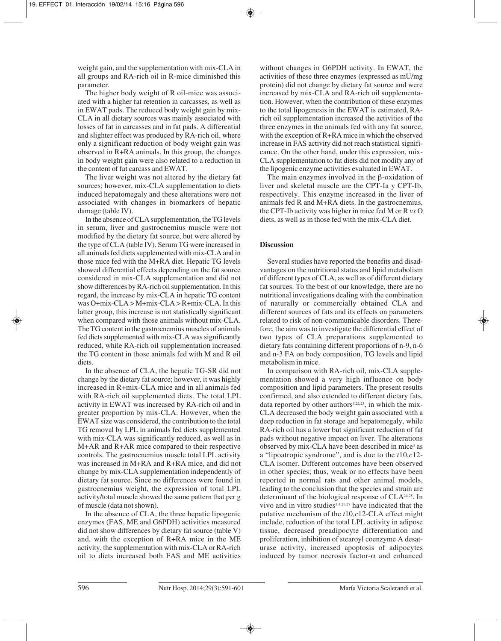weight gain, and the supplementation with mix-CLA in all groups and RA-rich oil in R-mice diminished this parameter.

The higher body weight of R oil-mice was associated with a higher fat retention in carcasses, as well as in EWAT pads. The reduced body weight gain by mix-CLA in all dietary sources was mainly associated with losses of fat in carcasses and in fat pads. A differential and slighter effect was produced by RA-rich oil, where only a significant reduction of body weight gain was observed in R+RA animals. In this group, the changes in body weight gain were also related to a reduction in the content of fat carcass and EWAT.

The liver weight was not altered by the dietary fat sources; however, mix-CLA supplementation to diets induced hepatomegaly and these alterations were not associated with changes in biomarkers of hepatic damage (table IV).

In the absence of CLA supplementation, the TG levels in serum, liver and gastrocnemius muscle were not modified by the dietary fat source, but were altered by the type of CLA (table IV). Serum TG were increased in all animals fed diets supplemented with mix-CLA and in those mice fed with the M+RA diet. Hepatic TG levels showed differential effects depending on the fat source considered in mix-CLA supplementation and did not show differences by RA-rich oil supplementation. In this regard, the increase by mix-CLA in hepatic TG content was O+mix-CLA > M+mix-CLA > R+mix-CLA. In this latter group, this increase is not statistically significant when compared with those animals without mix-CLA. The TG content in the gastrocnemius muscles of animals fed diets supplemented with mix-CLA was significantly reduced, while RA-rich oil supplementation increased the TG content in those animals fed with M and R oil diets.

In the absence of CLA, the hepatic TG-SR did not change by the dietary fat source; however, it was highly increased in R+mix-CLA mice and in all animals fed with RA-rich oil supplemented diets. The total LPL activity in EWAT was increased by RA-rich oil and in greater proportion by mix-CLA. However, when the EWAT size was considered, the contribution to the total TG removal by LPL in animals fed diets supplemented with mix-CLA was significantly reduced, as well as in M+AR and R+AR mice compared to their respective controls. The gastrocnemius muscle total LPL activity was increased in M+RA and R+RA mice, and did not change by mix-CLA supplementation independently of dietary fat source. Since no differences were found in gastrocnemius weight, the expression of total LPL activity/total muscle showed the same pattern that per g of muscle (data not shown).

In the absence of CLA, the three hepatic lipogenic enzymes (FAS, ME and G6PDH) activities measured did not show differences by dietary fat source (table V) and, with the exception of R+RA mice in the ME activity, the supplementation with mix-CLA or RA-rich oil to diets increased both FAS and ME activities

without changes in G6PDH activity. In EWAT, the activities of these three enzymes (expressed as mU/mg protein) did not change by dietary fat source and were increased by mix-CLA and RA-rich oil supplementation. However, when the contribution of these enzymes to the total lipogenesis in the EWAT is estimated, RArich oil supplementation increased the activities of the three enzymes in the animals fed with any fat source, with the exception of R+RA mice in which the observed increase in FAS activity did not reach statistical significance. On the other hand, under this expression, mix-CLA supplementation to fat diets did not modify any of the lipogenic enzyme activities evaluated in EWAT.

The main enzymes involved in the β-oxidation of liver and skeletal muscle are the CPT-Ia y CPT-Ib, respectively. This enzyme increased in the liver of animals fed R and M+RA diets. In the gastrocnemius, the CPT-Ib activity was higher in mice fed M or R *vs* O diets, as well as in those fed with the mix-CLA diet.

## **Discussion**

Several studies have reported the benefits and disadvantages on the nutritional status and lipid metabolism of different types of CLA, as well as of different dietary fat sources. To the best of our knowledge, there are no nutritional investigations dealing with the combination of naturally or commercially obtained CLA and different sources of fats and its effects on parameters related to risk of non-communicable disorders. Therefore, the aim was to investigate the differential effect of two types of CLA preparations supplemented to dietary fats containing different proportions of n-9, n-6 and n-3 FA on body composition, TG levels and lipid metabolism in mice.

In comparison with RA-rich oil, mix-CLA supplementation showed a very high influence on body composition and lipid parameters. The present results confirmed, and also extended to different dietary fats, data reported by other authors<sup>3,22,23</sup>, in which the mix-CLA decreased the body weight gain associated with a deep reduction in fat storage and hepatomegaly, while RA-rich oil has a lower but significant reduction of fat pads without negative impact on liver. The alterations observed by mix-CLA have been described in mice<sup>3</sup> as a "lipoatropic syndrome", and is due to the *t*10,*c*12- CLA isomer. Different outcomes have been observed in other species; thus, weak or no effects have been reported in normal rats and other animal models, leading to the conclusion that the species and strain are determinant of the biological response of CLA24,25. In vivo and in vitro studies<sup>3,4,26,27</sup> have indicated that the putative mechanism of the *t*10,*c*12-CLA effect might include, reduction of the total LPL activity in adipose tissue, decreased preadipocyte differentiation and proliferation, inhibition of stearoyl coenzyme A desaturase activity, increased apoptosis of adipocytes induced by tumor necrosis factor- $\alpha$  and enhanced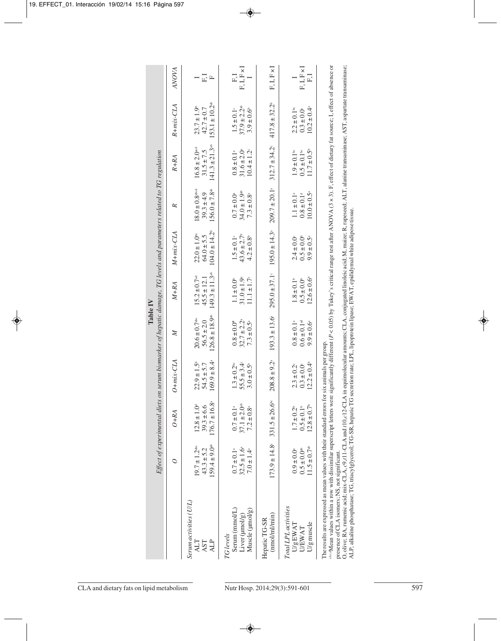|                                                                                                                                                                                                                                                                                                                                                                                                                      |                                                                                  | Effect of experimental diets on serum biomarker of hepatic damage, TG levels and parameters related to TG regulation |                                                                           |                                                                                    | Table IV                                                                            |                                                                                                                                                                                                                                                                                                 |                                                                                         |                                                                                      |                                                                                   |                               |
|----------------------------------------------------------------------------------------------------------------------------------------------------------------------------------------------------------------------------------------------------------------------------------------------------------------------------------------------------------------------------------------------------------------------|----------------------------------------------------------------------------------|----------------------------------------------------------------------------------------------------------------------|---------------------------------------------------------------------------|------------------------------------------------------------------------------------|-------------------------------------------------------------------------------------|-------------------------------------------------------------------------------------------------------------------------------------------------------------------------------------------------------------------------------------------------------------------------------------------------|-----------------------------------------------------------------------------------------|--------------------------------------------------------------------------------------|-----------------------------------------------------------------------------------|-------------------------------|
|                                                                                                                                                                                                                                                                                                                                                                                                                      | $\circ$                                                                          | $O+RA$                                                                                                               | $O + mix\text{-}CLA$                                                      | Z                                                                                  | M+RA                                                                                | $M + mix-CLA$                                                                                                                                                                                                                                                                                   | R                                                                                       | $R+RA$                                                                               | R+mix-CLA                                                                         | ANOVA                         |
| Serum activities (U/L)<br>AST<br><b>ALP</b><br><b>ALT</b>                                                                                                                                                                                                                                                                                                                                                            | $159.4 \pm 9.0$ <sup>ab</sup><br>$19.7 \pm 1.2$ <sup>alc</sup><br>$43.3 \pm 5.2$ | $176.7 \pm 16.8^{\circ}$<br>$12.8 \pm 1.0^{\circ}$<br>$39.3 \pm 6.6$                                                 | $169.9 \pm 8.4$ <sup>*</sup><br>$22.9 \pm 1.5^{\circ}$<br>$54.5 \pm 5.7$  | $126.8 \pm 18.9$ <sup>ab</sup><br>$20.6 \pm 0.7$ <sup>abc</sup><br>$56.5 \pm 2.0$  | $149.3 \pm 11.3$ <sup>ab</sup><br>$15.2 \pm 0.7$ <sup>ad</sup><br>$45.5 \pm 12.1$   | $104.0 \pm 14.2^{\circ}$<br>$22.0 \pm 1.0$ <sup>bc</sup><br>$64.0 \pm 5.5$                                                                                                                                                                                                                      | $18.0 \pm 0.8$ abcd<br>$156.0 \pm 7.8$ <sup>ab</sup><br>$39.3 \pm 4.9$                  | $141.3 \pm 21.3$ <sup>ab</sup><br>$16.8 \pm 2.0$ <sup>acd</sup><br>$31.5 \pm 7.5$    | $153.1 \pm 10.2^{ab}$<br>$23.7 \pm 1.9^{\circ}$<br>$42.7 \pm 0.7$                 | $F \cdot I$<br>$\overline{ }$ |
| Muscle (µmol/g)<br>Serum (mmol/L)<br>Liver (µmol/g)<br>TG levels                                                                                                                                                                                                                                                                                                                                                     | $32.5 \pm 1.6^{\circ}$<br>$0.7\pm0.1^{\rm\,a}$<br>$7.0 \pm 1.4$                  | $37.1 \pm 2.0$ <sup>ab</sup><br>$0.7\pm0.1^{\rm\scriptscriptstyle a}$<br>$7.2 \pm 0.8^{\circ}$                       | $55.5 \pm 3.4^{\circ}$<br>$1.3 \pm 0.2^{\rm bc}$<br>$3.0 \pm 0.5^{\circ}$ | $32.7 \pm 2.2^{\circ}$<br>$0.8 \pm 0.0^a$<br>$7.3 \pm 0.5^{\circ}$                 | $31.0 \pm 1.9$ <sup>a</sup><br>$11.1 \pm 1.7^{\circ}$<br>$1.1 \pm 0.0$ <sup>*</sup> | $43.6 \pm 2.7$<br>$1.5\pm0.1^{\circ}$<br>$4.2 \pm 0.8$                                                                                                                                                                                                                                          | $34.0 \pm 1.9$ <sup>ab</sup><br>$7.3 \pm 0.8^{\circ}$<br>$0.7 \pm 0.0$ <sup>a</sup>     | $31.6 \pm 2.0$ <sup>a</sup><br>$10.4 \pm 1.2$<br>$0.8\pm0.1^{\circ}$                 | $37.9 \pm 2.2$ <sup>ab</sup><br>$1.5\pm0.1^{\circ}$<br>$3.9 \pm 0.6$ <sup>6</sup> | $F, I, F \times I$<br>F, I    |
| (mnol/ml/min)<br>Hepatic TG-SR                                                                                                                                                                                                                                                                                                                                                                                       | $173.9 \pm 14.8$ <sup>a</sup>                                                    | 331.5 ± 26.6 <sup>bc</sup>                                                                                           | $208.8 \pm 9.2$ <sup>a</sup>                                              | $193.3 \pm 13.6^{\circ}$                                                           | $295.0 \pm 37.1$ <sup>c</sup>                                                       | $195.0 \pm 14.3$ <sup>a</sup>                                                                                                                                                                                                                                                                   | $209.7 \pm 20.1$ <sup>a</sup>                                                           | $312.7 \pm 34.2$                                                                     | $417.8 \pm 32.2^{\circ}$                                                          | $F, I, F \times I$            |
| Total LPL activities<br>U/g muscle<br>U/g EWAT<br><b>UEWAT</b>                                                                                                                                                                                                                                                                                                                                                       | $11.5 \pm 0.7$ <sup>ab</sup><br>$0.5 \pm 0.0$ <sup>ab</sup><br>$0.9 \pm 0.0$     | $12.8 \pm 0.7$ <sup>*</sup><br>$0.5\pm0.1^{\rm b}$<br>$1.7 \pm 0.2^{\circ}$                                          | $12.2 \pm 0.4^{\circ}$<br>$0.3 \pm 0.0$<br>$2.3 \pm 0.2$                  | $0.6 \pm 0.1$ <sup>ad</sup><br>$0.8 \pm 0.1$ <sup>a</sup><br>$9.9 \pm 0.6^{\circ}$ | $12.6 \pm 0.6$ <sup>6</sup><br>$1.8\pm0.1^{\rm b}$<br>$0.5\pm0.0^{\circ}$           | $0.5 \pm 0.0^{\circ}$<br>9.9 ± 0.5 <sup>ª</sup><br>$2.4 \pm 0.0$                                                                                                                                                                                                                                | $10.0 \pm 0.5$ <sup>a</sup><br>$1.1 \pm 0.1$ <sup>a</sup><br>$0.8 \pm 0.1$ <sup>d</sup> | $11.7 \pm 0.5^{\circ}$<br>$1.9 \pm 0.1$ <sup>bc</sup><br>$0.5 \pm 0.1$ <sup>bc</sup> | $10.2 \pm 0.4$<br>$2.2 \pm 0.1$ <sup>bc</sup><br>$0.3 \pm 0.0$                    | $F, I, F \times I$<br>F, I    |
| ALP, alkaline phosphatase; TG, triacylglycerol; TG-SR, hepatic TG secretion rate; LPL, lipoprotein lipase; EWAT, epididymal white adipose tissue.<br>The results are expressed as mean values with their standard errors f<br>aheeMean values within a row with dissimilar superscript letters we<br>O, olive; RA, rumenic acid; mix-CLA, c9,t11-CLA and t10,c12-CL<br>presence of CLA isomers; NS, not significant. |                                                                                  |                                                                                                                      | or six animals per group.                                                 |                                                                                    |                                                                                     | re significantly different (P < 0.05) by Tukey's critical range test after ANOVA (3 x 3). F, effect of dietary fat source; I, effect of absence or<br>A in equimolecular amounts; CLA, conjugated linoleic acid; M, maize; R, rapeseed; ALT, alanine transaminase; AST, aspartate transaminase; |                                                                                         |                                                                                      |                                                                                   |                               |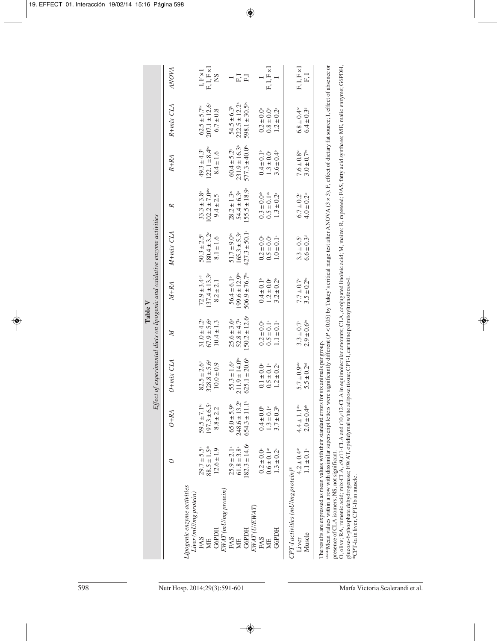| $54.5 \pm 6.3$<br>222.5 $\pm$ 12.2 <sup>b</sup><br>598.1 $\pm$ 30.5 <sup>bc</sup><br>$207.1 \pm 12.6^{\circ}$<br>$R + mix\text{-}CLA$<br>$62.5 \pm 5.7$ <sup>bc</sup><br>$6.8 \pm 0.4$ <sup>bc</sup><br>$0.8\pm0.0^\circ$<br>$1.2 \pm 0.2^a$<br>$0.2 \pm 0.0^{\circ}$<br>$6.7 \pm 0.8$<br>$231.9 \pm 16.3$ <sup>b</sup><br>$577.3 \pm 40.0$ <sup>ec</sup><br>$122.1 \pm 8.4^{\circ}$<br>$60.4 \pm 5.2^{\circ}$<br>$49.3 \pm 4.3^{\circ}$<br>$0.4\pm0.1^{\rm b}$<br>$7.6 \pm 0.8$ <sup>bc</sup><br>$1.3 \pm 0.0$<br>$3.6 \pm 0.4$<br>$8.4 \pm 1.6$<br>$R+RA$<br>$102.2 \pm 7.0$ <sup>abe</sup><br>$54.4 \pm 6.3$ <sup>a</sup><br>155.5 ± 18.9 <sup>a</sup><br>$28.2 \pm 1.3$ <sup>ac</sup><br>$33.3 \pm 3.8^{\circ}$<br>$0.5 \pm 0.1$ <sup>ab</sup><br>$0.3 \pm 0.04$<br>$1.3 \pm 0.2^{\circ}$<br>$6.7 \pm 0.2^{\circ}$<br>$9.4 \pm 2.5$<br>ĸ<br>$427.3 \pm 50.1$ <sup>c</sup><br>$165.3 \pm 5.3$<br>$M + mix-CLA$<br>$180.4 \pm 3.2$<br>$51.7 \pm 9.0$ <sup>bc</sup><br>$50.3 \pm 2.5^{\circ}$<br>$0.5 \pm 0.0$ <sup>a</sup><br>$1.0\pm0.1^{\rm a}$<br>$3.3 \pm 0.5^{\circ}$<br>$0.2 \pm 0.0$ <sup>a</sup><br>$8.1 \pm 1.6$<br>$199.6 \pm 12.9$ <sup>pc</sup><br>$506.9 \pm 76.7$ <sup>to</sup><br>$137.4 \pm 13.3^{\circ}$<br>$72.9 \pm 3.4$ <sup>cd</sup><br>$56.4 \pm 6.1$ <sup>b</sup><br>$0.4 \pm 0.1$ <sup>b</sup><br>$1.2 \pm 0.0$<br>$3.2 \pm 0.2$ <sup>b</sup><br>$7.7 \pm 0.7$<br>$8.2 \pm 2.1$<br>$M+RA$<br>$150.2 \pm 12.6^{\circ}$<br>$52.8 \pm 4.7^{\circ}$<br>$67.9 \pm 5.6$ <sup>a</sup><br>$25.6 \pm 3.6^{\circ}$<br>$31.0 \pm 4.2^{\circ}$<br>$10.4 \pm 1.3$<br>$0.5 \pm 0.1$ <sup>a</sup><br>$1.1\pm0.1^{\rm a}$<br>$3.3 \pm 0.7^a$<br>$0.2 \pm 0.0$<br>Z<br>$211.9 \pm 14.0$ <sup>ec</sup><br>$625.1 \pm 20.6$ <sup>6</sup><br>$328.8 \pm 5.6^{\circ}$<br>$O + mix\text{-}CLA$<br>$55.3 \pm 1.6^{\circ}$<br>$82.5 \pm 2.6^{\circ}$<br>$5.7\pm0.9$ abc<br>$10.0 \pm 0.9$<br>$0.5 \pm 0.1$ <sup>a</sup><br>$0.1 \pm 0.0$<br>$1.2 \pm 0.2$ <sup>a</sup><br>$248.6 \pm 13.2^{\circ}$<br>$654.3 \pm 11.1$ <sup>b</sup><br>$197.3 \pm 6.5$<br>59.5 ± 7.1 <sup>bc</sup><br>$65.0 \pm 5.9$<br>$4.4 \pm 1.1$ <sup>abc</sup><br>$1.3\pm0.1^{\circ}$<br>$0.4 \pm 0.0$ <sup>*</sup><br>$3.7 \pm 0.3$<br>$8.8 \pm 2.2$<br>$O+RA$<br>$182.3 \pm 14.6^{\circ}$<br>$88.5 \pm 1.5^{\rm ab}$<br>$61.8 \pm 3.8^{\rm a}$<br>$25.9 \pm 2.1$ <sup>a</sup><br>$29.7 \pm 5.5^{\circ}$<br>$12.6 \pm 1.9$<br>$0.6 \pm 0.1$ <sup>ab</sup><br>$4.2 \pm 0.4$ <sup>ab</sup><br>$0.2 \pm 0.0$ <sup>a</sup><br>$1.3 \pm 0.2^{\circ}$<br>O<br>$CPT-I$ activities (mU/mg protein)*<br>Lipogenic enzyme activities<br>EWAT (mU/mg protein)<br>Liver (mU/mg protein)<br>EWAT (U/EWAT)<br><b>G6PDH</b><br>G6PDH<br><b>G6PDH</b><br>FAS<br>FAS<br>Liver<br>FAS<br><b>NH</b><br>ME<br><b>NE</b> |        |                            |                             |                             |                       | Effect of experimental diets on lipogenic and oxidative enzyme activities<br>Table V |                            |                             |                             |                            |                                       |
|------------------------------------------------------------------------------------------------------------------------------------------------------------------------------------------------------------------------------------------------------------------------------------------------------------------------------------------------------------------------------------------------------------------------------------------------------------------------------------------------------------------------------------------------------------------------------------------------------------------------------------------------------------------------------------------------------------------------------------------------------------------------------------------------------------------------------------------------------------------------------------------------------------------------------------------------------------------------------------------------------------------------------------------------------------------------------------------------------------------------------------------------------------------------------------------------------------------------------------------------------------------------------------------------------------------------------------------------------------------------------------------------------------------------------------------------------------------------------------------------------------------------------------------------------------------------------------------------------------------------------------------------------------------------------------------------------------------------------------------------------------------------------------------------------------------------------------------------------------------------------------------------------------------------------------------------------------------------------------------------------------------------------------------------------------------------------------------------------------------------------------------------------------------------------------------------------------------------------------------------------------------------------------------------------------------------------------------------------------------------------------------------------------------------------------------------------------------------------------------------------------------------------------------------------------------------------------------------------------------------------------------------------------------------------------------------------------------------------------------------------------------------------|--------|----------------------------|-----------------------------|-----------------------------|-----------------------|--------------------------------------------------------------------------------------|----------------------------|-----------------------------|-----------------------------|----------------------------|---------------------------------------|
|                                                                                                                                                                                                                                                                                                                                                                                                                                                                                                                                                                                                                                                                                                                                                                                                                                                                                                                                                                                                                                                                                                                                                                                                                                                                                                                                                                                                                                                                                                                                                                                                                                                                                                                                                                                                                                                                                                                                                                                                                                                                                                                                                                                                                                                                                                                                                                                                                                                                                                                                                                                                                                                                                                                                                                              |        |                            |                             |                             |                       |                                                                                      |                            |                             |                             |                            | ANOVA                                 |
|                                                                                                                                                                                                                                                                                                                                                                                                                                                                                                                                                                                                                                                                                                                                                                                                                                                                                                                                                                                                                                                                                                                                                                                                                                                                                                                                                                                                                                                                                                                                                                                                                                                                                                                                                                                                                                                                                                                                                                                                                                                                                                                                                                                                                                                                                                                                                                                                                                                                                                                                                                                                                                                                                                                                                                              |        |                            |                             |                             |                       |                                                                                      |                            |                             |                             |                            | ${\rm I, F \times I}$                 |
|                                                                                                                                                                                                                                                                                                                                                                                                                                                                                                                                                                                                                                                                                                                                                                                                                                                                                                                                                                                                                                                                                                                                                                                                                                                                                                                                                                                                                                                                                                                                                                                                                                                                                                                                                                                                                                                                                                                                                                                                                                                                                                                                                                                                                                                                                                                                                                                                                                                                                                                                                                                                                                                                                                                                                                              |        |                            |                             |                             |                       |                                                                                      |                            |                             |                             |                            | $F, I, F \times I$<br>$\overline{S}$  |
|                                                                                                                                                                                                                                                                                                                                                                                                                                                                                                                                                                                                                                                                                                                                                                                                                                                                                                                                                                                                                                                                                                                                                                                                                                                                                                                                                                                                                                                                                                                                                                                                                                                                                                                                                                                                                                                                                                                                                                                                                                                                                                                                                                                                                                                                                                                                                                                                                                                                                                                                                                                                                                                                                                                                                                              |        |                            |                             |                             |                       |                                                                                      |                            |                             |                             |                            | $\Gamma.1$ $\Gamma$<br>$\overline{ }$ |
|                                                                                                                                                                                                                                                                                                                                                                                                                                                                                                                                                                                                                                                                                                                                                                                                                                                                                                                                                                                                                                                                                                                                                                                                                                                                                                                                                                                                                                                                                                                                                                                                                                                                                                                                                                                                                                                                                                                                                                                                                                                                                                                                                                                                                                                                                                                                                                                                                                                                                                                                                                                                                                                                                                                                                                              |        |                            |                             |                             |                       |                                                                                      |                            |                             |                             |                            | $F, I, F \times I$                    |
|                                                                                                                                                                                                                                                                                                                                                                                                                                                                                                                                                                                                                                                                                                                                                                                                                                                                                                                                                                                                                                                                                                                                                                                                                                                                                                                                                                                                                                                                                                                                                                                                                                                                                                                                                                                                                                                                                                                                                                                                                                                                                                                                                                                                                                                                                                                                                                                                                                                                                                                                                                                                                                                                                                                                                                              | Muscle | $1.1 \pm 0.1$ <sup>a</sup> | $2.0 \pm 0.4$ <sup>ab</sup> | $5.5 \pm 0.2$ <sup>od</sup> | $2.9\pm0.6^{\rm{te}}$ | $3.5 \pm 0.2^{\rm{be}}$                                                              | $6.6 \pm 0.3$ <sup>d</sup> | $4.0 \pm 0.2$ <sup>os</sup> | $3.0 \pm 0.7$ <sup>bs</sup> | $6.4 \pm 0.3$ <sup>d</sup> | $F, I, F \times I$<br>F, I            |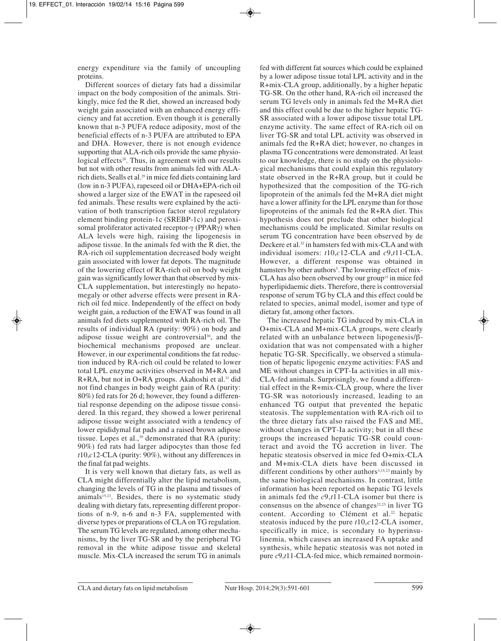energy expenditure via the family of uncoupling proteins.

Different sources of dietary fats had a dissimilar impact on the body composition of the animals. Strikingly, mice fed the R diet, showed an increased body weight gain associated with an enhanced energy efficiency and fat accretion. Even though it is generally known that n-3 PUFA reduce adiposity, most of the beneficial effects of n-3 PUFA are attributed to EPA and DHA. However, there is not enough evidence supporting that ALA-rich oils provide the same physiological effects<sup>28</sup>. Thus, in agreement with our results but not with other results from animals fed with ALArich diets, Sealls et al*.* <sup>29</sup> in mice fed diets containing lard (low in n-3 PUFA), rapeseed oil or DHA+EPA-rich oil showed a larger size of the EWAT in the rapeseed oil fed animals. These results were explained by the activation of both transcription factor sterol regulatory element binding protein-1c (SREBP-1c) and peroxisomal proliferator activated receptor-γ (PPARγ) when ALA levels were high, raising the lipogenesis in adipose tissue. In the animals fed with the R diet, the RA-rich oil supplementation decreased body weight gain associated with lower fat depots. The magnitude of the lowering effect of RA-rich oil on body weight gain was significantly lower than that observed by mix-CLA supplementation, but interestingly no hepatomegaly or other adverse effects were present in RArich oil fed mice. Independently of the effect on body weight gain, a reduction of the EWAT was found in all animals fed diets supplemented with RA-rich oil. The results of individual RA (purity: 90%) on body and adipose tissue weight are controversial<sup>30</sup>, and the biochemical mechanisms proposed are unclear. However, in our experimental conditions the fat reduction induced by RA-rich oil could be related to lower total LPL enzyme activities observed in M+RA and R+RA, but not in O+RA groups. Akahoshi et al.31 did not find changes in body weight gain of RA (purity: 80%) fed rats for 26 d; however, they found a differential response depending on the adipose tissue consi dered. In this regard, they showed a lower perirenal adipose tissue weight associated with a tendency of lower epididymal fat pads and a raised brown adipose tissue. Lopes et al.,<sup>30</sup> demonstrated that RA (purity: 90%) fed rats had larger adipocytes than those fed *t*10,*c*12-CLA (purity: 90%), without any differences in the final fat pad weights.

It is very well known that dietary fats, as well as CLA might differentially alter the lipid metabolism, changing the levels of TG in the plasma and tissues of animals<sup>15,23</sup>. Besides, there is no systematic study dealing with dietary fats, representing different proportions of n-9, n-6 and n-3 FA, supplemented with diverse types or preparations of CLA on TG regulation. The serum TG levels are regulated, among other mecha nisms, by the liver TG-SR and by the peripheral TG removal in the white adipose tissue and skeletal muscle. Mix-CLA increased the serum TG in animals

fed with different fat sources which could be explained by a lower adipose tissue total LPL activity and in the R+mix-CLA group, additionally, by a higher hepatic TG-SR. On the other hand, RA-rich oil increased the serum TG levels only in animals fed the M+RA diet and this effect could be due to the higher hepatic TG-SR associated with a lower adipose tissue total LPL enzyme activity. The same effect of RA-rich oil on liver TG-SR and total LPL activity was observed in animals fed the R+RA diet; however, no changes in plasma TG concentrations were demonstrated. At least to our knowledge, there is no study on the physiological mechanisms that could explain this regulatory state observed in the R+RA group, but it could be hypothesized that the composition of the TG-rich lipoprotein of the animals fed the M+RA diet might have a lower affinity for the LPL enzyme than for those lipoproteins of the animals fed the R+RA diet. This hypothesis does not preclude that other biological mechanisms could be implicated. Similar results on serum TG concentration have been observed by de Deckere et al.<sup>32</sup> in hamsters fed with mix-CLA and with individual isomers: *t*10,*c*12-CLA and *c*9,*t*11-CLA. However, a different response was obtained in hamsters by other authors<sup>5</sup>. The lowering effect of mix-CLA has also been observed by our group<sup>15</sup> in mice fed hyperlipidaemic diets. Therefore, there is controversial response of serum TG by CLA and this effect could be related to species, animal model, isomer and type of dietary fat, among other factors.

The increased hepatic TG induced by mix-CLA in O+mix-CLA and M+mix-CLA groups, were clearly related with an unbalance between lipogenesis/ $β$ oxidation that was not compensated with a higher hepatic TG-SR. Specifically, we observed a stimulation of hepatic lipogenic enzyme activities: FAS and ME without changes in CPT-Ia activities in all mix-CLA-fed animals. Surprisingly, we found a differential effect in the R+mix-CLA group, where the liver TG-SR was notoriously increased, leading to an enhanced TG output that prevented the hepatic steatosis. The supplementation with RA-rich oil to the three dietary fats also raised the FAS and ME, without changes in CPT-Ia activity; but in all these groups the increased hepatic TG-SR could counteract and avoid the TG accretion in liver. The hepatic steatosis observed in mice fed O+mix-CLA and M+mix-CLA diets have been discussed in different conditions by other authors<sup>3,15,23</sup> mainly by the same biological mechanisms. In contrast, little information has been reported on hepatic TG levels in animals fed the *c*9,*t*11-CLA isomer but there is consensus on the absence of changes<sup>22,23</sup> in liver TG content. According to Clément et al.<sup>22</sup> hepatic steatosis induced by the pure *t*10,*c*12-CLA isomer, specifically in mice, is secondary to hyperinsulinemia, which causes an increased FA uptake and synthesis, while hepatic steatosis was not noted in pure *c*9,*t*11-CLA-fed mice, which remained normoin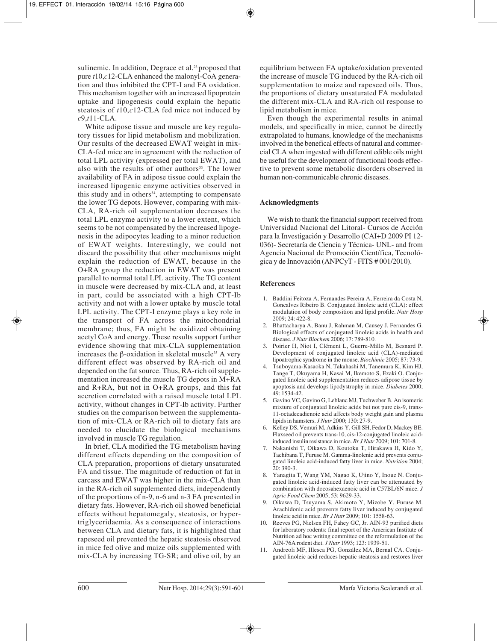sulinemic. In addition, Degrace et al.<sup>23</sup> proposed that pure *t*10,*c*12-CLA enhanced the malonyl-CoA generation and thus inhibited the CPT-I and FA oxidation. This mechanism together with an increased lipoprotein uptake and lipogenesis could explain the hepatic steatosis of *t*10,*c*12-CLA fed mice not induced by *c*9,*t*11-CLA.

White adipose tissue and muscle are key regulatory tissues for lipid metabolism and mobilization. Our results of the decreased EWAT weight in mix-CLA-fed mice are in agreement with the reduction of total LPL activity (expressed per total EWAT), and also with the results of other authors<sup>33</sup>. The lower availability of FA in adipose tissue could explain the increased lipogenic enzyme activities observed in this study and in others $34$ , attempting to compensate the lower TG depots. However, comparing with mix-CLA, RA-rich oil supplementation decreases the total LPL enzyme activity to a lower extent, which seems to be not compensated by the increased lipogenesis in the adipocytes leading to a minor reduction of EWAT weights. Interestingly, we could not discard the possibility that other mechanisms might explain the reduction of EWAT, because in the O+RA group the reduction in EWAT was present parallel to normal total LPL activity. The TG content in muscle were decreased by mix-CLA and, at least in part, could be associated with a high CPT-Ib activity and not with a lower uptake by muscle total LPL activity. The CPT-I enzyme plays a key role in the transport of FA across the mitochondrial membrane; thus, FA might be oxidized obtaining acetyl CoA and energy. These results support further evidence showing that mix-CLA supplementation increases the β-oxidation in skeletal muscle<sup>35</sup> A very different effect was observed by RA-rich oil and depended on the fat source. Thus, RA-rich oil supplementation increased the muscle TG depots in M+RA and R+RA, but not in O+RA groups, and this fat accretion correlated with a raised muscle total LPL activity, without changes in CPT-Ib activity. Further studies on the comparison between the supplementation of mix-CLA or RA-rich oil to dietary fats are needed to elucidate the biological mechanisms involved in muscle TG regulation.

In brief, CLA modified the TG metabolism having different effects depending on the composition of CLA preparation, proportions of dietary unsaturated FA and tissue. The magnitude of reduction of fat in carcass and EWAT was higher in the mix-CLA than in the RA-rich oil supplemented diets, independently of the proportions of n-9, n-6 and n-3 FA presented in dietary fats. However, RA-rich oil showed beneficial effects without hepatomegaly, steatosis, or hypertriglyceridaemia. As a consequence of interactions between CLA and dietary fats, it is highlighted that rapeseed oil prevented the hepatic steatosis observed in mice fed olive and maize oils supplemented with mix-CLA by increasing TG-SR; and olive oil, by an

equilibrium between FA uptake/oxidation prevented the increase of muscle TG induced by the RA-rich oil supplementation to maize and rapeseed oils. Thus, the proportions of dietary unsaturated FA modulated the different mix-CLA and RA-rich oil response to lipid metabolism in mice.

Even though the experimental results in animal models, and specifically in mice, cannot be directly extrapolated to humans, knowledge of the mechanisms involved in the benefical effects of natural and commercial CLA when ingested with different edible oils might be useful for the development of functional foods effective to prevent some metabolic disorders observed in human non-communicable chronic diseases.

#### **Acknowledgments**

We wish to thank the financial support received from Universidad Nacional del Litoral- Cursos de Acción para la Investigación y Desarrollo (CAI+D 2009 PI 12- 036)- Secretaría de Ciencia y Técnica- UNL- and from Agencia Nacional de Promoción Científica, Tecnológica y de Innovación (ANPCyT - FITS # 001/2010).

#### **References**

- 1. Baddini Feitoza A, Fernandes Pereira A, Ferreira da Costa N, Goncalves Ribeiro B. Conjugated linoleic acid (CLA): effect modulation of body composition and lipid profile. *Nutr Hosp*  $2009:24:422-8$
- 2. Bhattacharya A, Banu J, Rahman M, Causey J, Fernandes G. Biological effects of conjugated linoleic acids in health and disease. *J Nutr Biochem* 2006; 17: 789-810.
- 3. Poirier H, Niot I, Clément L, Guerre-Millo M, Besnard P. Development of conjugated linoleic acid (CLA)-mediated lipoatrophic syndrome in the mouse. *Biochimie* 2005; 87: 73-9.
- 4. Tsuboyama-Kasaoka N, Takahashi M, Tanemura K, Kim HJ, Tange T, Okuyama H, Kasai M, Ikemoto S, Ezaki O. Conjugated linoleic acid supplementation reduces adipose tissue by apoptosis and develops lipodystrophy in mice. *Diabetes* 2000; 49: 1534-42.
- 5. Gavino VC, Gavino G, Leblanc MJ, Tuchweber B. An isomeric mixture of conjugated linoleic acids but not pure cis-9, trans-11-octadecadienoic acid affects body weight gain and plasma lipids in hamsters. *J Nutr* 2000; 130: 27-9.
- 6. Kelley DS, Vemuri M, Adkins Y, Gill SH, Fedor D, Mackey BE. Flaxseed oil prevents trans-10, cis-12-conjugated linoleic acidinduced insulin resistance in mice. *Br J Nutr* 2009; 101: 701-8.
- 7. Nakanishi T, Oikawa D, Koutoku T, Hirakawa H, Kido Y, Tachibana T, Furuse M. Gamma-linolenic acid prevents conjugated linoleic acid-induced fatty liver in mice. *Nutrition* 2004; 20: 390-3.
- 8. Yanagita T, Wang YM, Nagao K, Ujino Y, Inoue N. Conjugated linoleic acid-induced fatty liver can be attenuated by combination with docosahexaenoic acid in C57BL/6N mice. *J Agric Food Chem* 2005; 53: 9629-33.
- 9. Oikawa D, Tsuyama S, Akimoto Y, Mizobe Y, Furuse M. Arachidonic acid prevents fatty liver induced by conjugated linoleic acid in mice. *Br J Nutr* 2009; 101: 1558-63.
- 10. Reeves PG, Nielsen FH, Fahey GC, Jr. AIN-93 purified diets for laboratory rodents: final report of the American Institute of Nutrition ad hoc writing committee on the reformulation of the AIN-76A rodent diet. *J Nutr* 1993; 123: 1939-51.
- 11. Andreoli MF, Illesca PG, González MA, Bernal CA. Conjugated linoleic acid reduces hepatic steatosis and restores liver